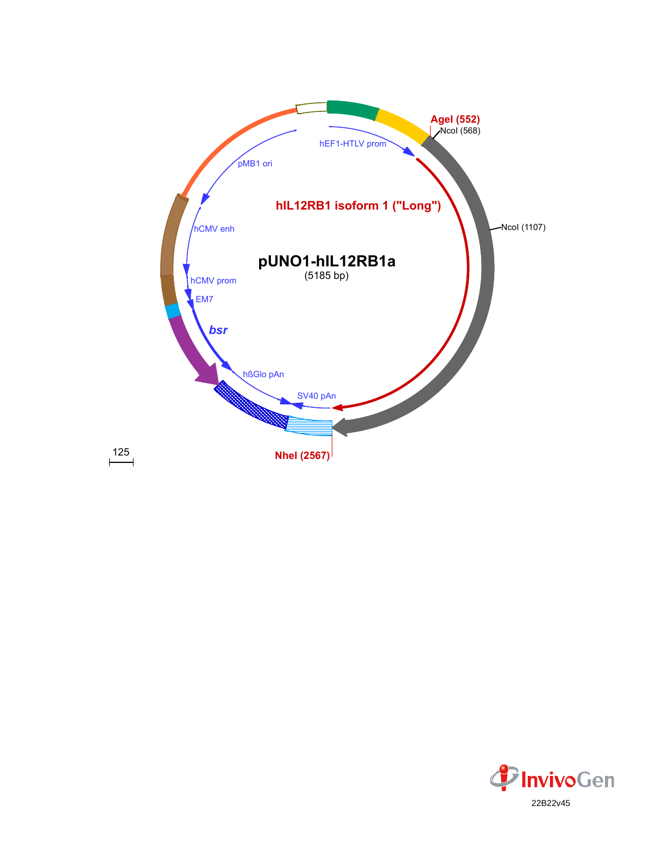

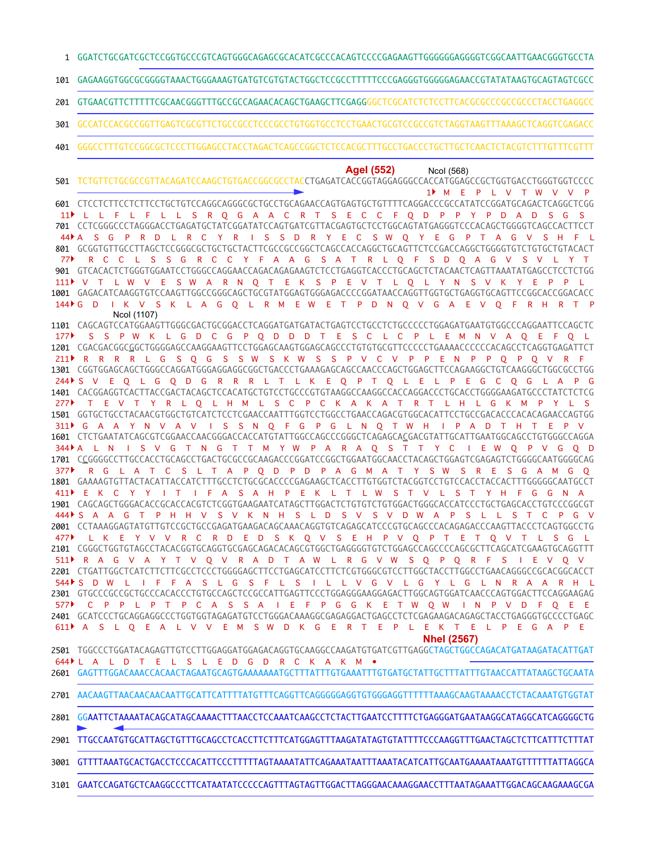GGATCTGCGATCGCTCCGGTGCCCGTCAGTGGGCAGAGCGCACATCGCCCACAGTCCCCGAGAAGTTGGGGGGAGGGGTCGGCAATTGAACGGGTGCCTA 1

GAGAAGGTGGCGCGGGGTAAACTGGGAAAGTGATGTCGTGTACTGGCTCCGCCTTTTTCCCGAGGGTGGGGGAGAACCGTATATAAGTGCAGTAGTCGCC 101

GTGAACGTTCTTTTTCGCAACGGGTTTGCCGCCAGAACACAGCTGAAGCTTCGAGGGGCTCGCATCTCTCCTTCACGCGCCCGCCGCCCTACCTGAGGCC 201

GCCATCCACGCCGGTTGAGTCGCGTTCTGCCGCCTCCCGCCTGTGGTGCCTCCTGAACTGCGTCCGCCGTCTAGGTAAGTTTAAAGCTCAGGTCGAGACC 301

GGGCCTTTGTCCGGCGCTCCCTTGGAGCCTACCTAGACTCAGCCGGCTCTCCACGCTTTGCCTGACCCTGCTTGCTCAACTCTACGTCTTTGTTTCGTTT 401

**AgeI (552)** NcoI (568)

TCTGTTCTGCGCCGTTACAGATCCAAGCTGTGACCGGCGCCTACCTGAGATCACCGGTAGGAGGGCCACCATGGAGCCGCTGGTGACCTGGGTGGTCCCC 501 CTCCTCTTCCTCTTCCTGCTGTCCAGGCAGGGCGCTGCCTGCAGAACCAGTGAGTGCTGTTTTCAGGACCCGCCATATCCGGATGCAGACTCAGGCTCGG 601 CCTCGGGCCCTAGGGACCTGAGATGCTATCGGATATCCAGTGATCGTTACGAGTGCTCCTGGCAGTATGAGGGTCCCACAGCTGGGGTCAGCCACTTCCT 701 801 GCGGTGTTGCCTTAGCTCCGGGCGCTGCTGCTACTTCGCCGCCGGCTCAGCCACCAGGCTGCAGTTCTCCGACCAGGCTGGGGTGTCTGTGCTGTACACT GTCACACTCTGGGTGGAATCCTGGGCCAGGAACCAGACAGAGAAGTCTCCTGAGGTCACCCTGCAGCTCTACAACTCAGTTAAATATGAGCCTCCTCTGG 901 1001 GAGACATCAAGGTGTCCAAGTTGGCCGGGCAGCTGCGTATGGAGTGGGAGACCCCGGATAACCAGGTTGGTGCTGAGGTGCAGTTCCGGCACCGGACACC CAGCAGTCCATGGAAGTTGGGCGACTGCGGACCTCAGGATGATGATACTGAGTCCTGCCTCTGCCCCCTGGAGATGAATGTGGCCCAGGAATTCCAGCTC 1101 1201 CGACGACGGC<u>G</u>GCTGGGGAGCCAAGGAAGTTCCTGGAGCAAGTGGAGCAGCCCTGTGTGCGTTCCCCCTGAAAACCCCCCACAGCCTCAGGTGAGATTCT CGGTGGAGCAGCTGGGCCAGGATGGGAGGAGGCGGCTGACCCTGAAAGAGCAGCCAACCCAGCTGGAGCTTCCAGAAGGCTGTCAAGGGCTGGCGCCTGG 1301 CACGGAGGTCACTTACCGACTACAGCTCCACATGCTGTCCTGCCCGTGTAAGGCCAAGGCCACCAGGACCCTGCACCTGGGGAAGATGCCCTATCTCTCG 1401 1501 GGTGCTGCCTACAACGTGGCTGTCATCTCCTCGAACCAATTTGGTCCTGGCCTGAACCAGACGTGGCACATTCCTGCCGACACCCACACAGAACCAGTGG 1601 CTCTGAATATCAGCGTCGGAACCAACGGGACCACCATGTATTGGCCAGCCCGGGCTCAGAGCA<u>C</u>GACGTATTGCATTGAATGGCAGCCTGTGGGCCAGGA 1701 C\_CGGGGCCTTGCCACCTGCAGCCTGACTGCGCCGCAAGACCCGGATCCGGCTGGAATGGCAACCTACAGCTGGAGTCGAGAGTCTGGGGCAATGGGGCAG 1801 GAAAAGTGTTACTACATTACCATCTTTGCCTCTGCGCACCCCGAGAAGCTCACCTTGTGGTCTACGGTCCTGTCCACCTACCACTTTGGGGGCAATGCCT 1901 CAGCAGCTGGGACACCGCACCACCGTCTCGGTGAAGAATCATAGCTTGGACTCTGTGTCTGTGGACTGGGCACCATCCCTGCTGAGCACCTGTCCCGGCGT CCTAAAGGAGTATGTTGTCCGCTGCCGAGATGAAGACAGCAAACAGGTGTCAGAGCATCCCGTGCAGCCCACAGAGACCCAAGTTACCCTCAGTGGCCTG 2001 CGGGCTGGTGTAGCCTACACGGTGCAGGTGCGAGCAGACACAGCGTGGCTGAGGGGTGTCTGGAGCCAGCCCCAGCGCTTCAGCATCGAAGTGCAGGTTT 2101 2201 CTGATTGGCTCATCTTCTTCGCCTCCCTGGGGAGCTTCCTGAGCATCCTTCTCGTGGGCGTCCTTGGCTACCTTGGCCTGAACAGGGCCGCACGGCACCT 2301 GTGCCCGCCGCTGCCCACACCCTGTGCCAGCTCCGCCATTGAGTTCCCTGGAGGGAAGGAGACTTGGCAGTGGATCAACCCAGTGGACTTCCAGGAAGAG GCATCCCTGCAGGAGGCCCTGGTGGTAGAGATGTCCTGGGACAAAGGCGAGAGGACTGAGCCTCTCGAGAAGACAGAGCTACCTGAGGGTGCCCCTGAGC 2401 TGGCCCTGGATACAGAGTTGTCCTTGGAGGATGGAGACAGGTGCAAGGCCAAGATGTGATCGTTGAGGCTAGCTGGCCAGACATGATAAGATACATTGAT 2501 M E P L V T W V V P 1 L L F L F L L S R Q G A A C R T S E C C F Q D P P Y P D A D S G S 11 S G P R D L R C Y R I S S D R Y E C S W Q Y E G P T A G V S H F R C C L S S G R C C Y F A A G S A T R L Q F S D Q A G V S V L Y T V T L W V E S W A R N Q T E K S P E V T L Q L Y N S V K Y E P P L 111 I K V S K L A G Q L R M E W E T P D N Q V G A E V Q F R H R T P S S P W K L G D C G P Q D D D T E S C L C P L E M N V A Q E F Q L 177 R R R R L G S Q G S S W S K W S S P V C V P P E N P P Q P Q V R F 211 244 PS V E Q L G Q D G R R R L T L K E Q P T Q L E L P E G C Q G L A P G T E V T Y R L Q L H M L S C P C K A K A T R T L H L G K M P Y L S 311 DG A A Y N V A V I S S N Q F G P G L N Q T W H I P A D T H T E P V 344ÞA LNIS V GTNGTTMY W PARAQ STTYCIEW Q P V G Q D 377 PRG LAT C S L T A P Q D P D P A G M A T Y S W S R E S G A M G Q E K C Y Y I T I F A S A H P E K L T L W S T V L S T Y H F G G N A 411 444NS A A G T P H H V S V K N H S L D S V S V D W A P S L L S T C P G V L K E Y V V R C R D E D S K Q V S E H P V Q P T E T Q V T L S G L 477 511 PRAG VAYT V Q V RAD T A W L R G V W S Q P Q R F S I E V Q V S D W L I F F A S L G S F L S I L L V G V L G Y L G L N R A A R H L 544 C P P L P T P C A S S A I E F P G G K E T W Q W I N P V D F Q E E A S L Q E A L V V E M S W D K G E R T E P L E K T E L P E G A P E 611 L A L D T E L S L E D G D R C K A K M • 644NcoI (1107) **NheI (2567)** 44 77  $144 \cdot G$  D 277 577

2601 GAGTTTGGACAAACCACAACTAGAATGCAGTGAAAAAAATGCTTTATTTGTGAAATTTGTGATGCTATTGCTTTATTTGTAACCATTATAAGCTGCAATA

AACAAGTTAACAACAACAATTGCATTCATTTTATGTTTCAGGTTCAGGGGGAGGTGTGGGAGGTTTTTTAAAGCAAGTAAAACCTCTACAAATGTGGTAT 2701

GGAATTCTAAAATACAGCATAGCAAAACTTTAACCTCCAAATCAAGCCTCTACTTGAATCCTTTTCTGAGGGATGAATAAGGCATAGGCATCAGGGGCTG 2801

2901 TTGCCAATGTGCATTAGCTGTTTGCAGCCTCACCTTCTTTCATGGAGTTTAAGATATAGTGTATTTTCCCAAGGTTTGAACTAGCTCTTCATTTCTTTAT

GTTTTAAATGCACTGACCTCCCACATTCCCTTTTTAGTAAAATATTCAGAAATAATTTAAATACATCATTGCAATGAAAATAAATGTTTTTTATTAGGCA 3001

3101 GAATCCAGATGCTCAAGGCCCTTCATAATATCCCCCAGTTTAGTAGTTGGACTTAGGGAACAAAGGAACCTTTAATAGAAATTGGACAGCAAGAAAGCGA